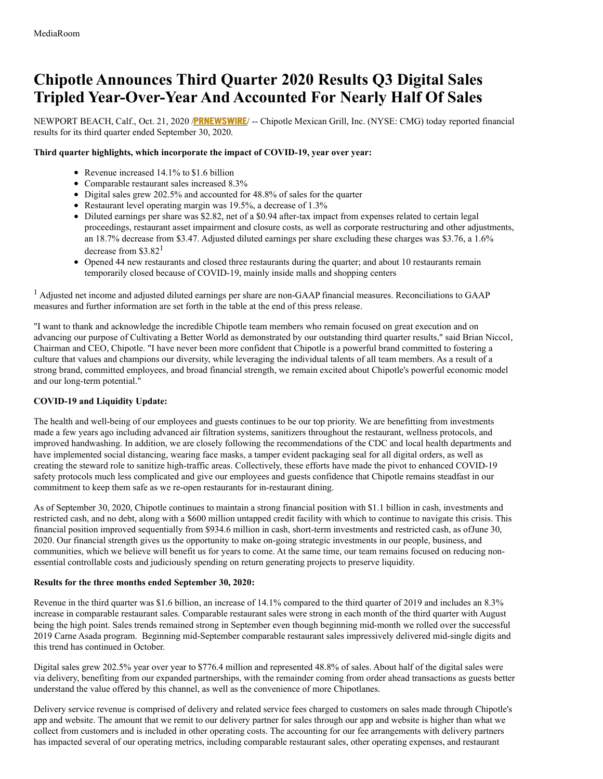# **Chipotle Announces Third Quarter 2020 Results Q3 Digital Sales Tripled Year-Over-Year And Accounted For Nearly Half Of Sales**

NEWPORT BEACH, Calf., Oct. 21, 2020 /**[PRNEWSWIRE](http://www.prnewswire.com/)**/ -- Chipotle Mexican Grill, Inc. (NYSE: CMG) today reported financial results for its third quarter ended September 30, 2020.

# **Third quarter highlights, which incorporate the impact of COVID-19, year over year:**

- Revenue increased 14.1% to \$1.6 billion
- Comparable restaurant sales increased 8.3%
- Digital sales grew 202.5% and accounted for 48.8% of sales for the quarter
- Restaurant level operating margin was 19.5%, a decrease of 1.3%
- Diluted earnings per share was \$2.82, net of a \$0.94 after-tax impact from expenses related to certain legal proceedings, restaurant asset impairment and closure costs, as well as corporate restructuring and other adjustments, an 18.7% decrease from \$3.47. Adjusted diluted earnings per share excluding these charges was \$3.76, a 1.6% decrease from \$3.82<sup>1</sup>
- Opened 44 new restaurants and closed three restaurants during the quarter; and about 10 restaurants remain temporarily closed because of COVID-19, mainly inside malls and shopping centers

<sup>1</sup> Adjusted net income and adjusted diluted earnings per share are non-GAAP financial measures. Reconciliations to GAAP measures and further information are set forth in the table at the end of this press release.

"I want to thank and acknowledge the incredible Chipotle team members who remain focused on great execution and on advancing our purpose of Cultivating a Better World as demonstrated by our outstanding third quarter results," said Brian Niccol, Chairman and CEO, Chipotle. "I have never been more confident that Chipotle is a powerful brand committed to fostering a culture that values and champions our diversity, while leveraging the individual talents of all team members. As a result of a strong brand, committed employees, and broad financial strength, we remain excited about Chipotle's powerful economic model and our long-term potential."

# **COVID-19 and Liquidity Update:**

The health and well-being of our employees and guests continues to be our top priority. We are benefitting from investments made a few years ago including advanced air filtration systems, sanitizers throughout the restaurant, wellness protocols, and improved handwashing. In addition, we are closely following the recommendations of the CDC and local health departments and have implemented social distancing, wearing face masks, a tamper evident packaging seal for all digital orders, as well as creating the steward role to sanitize high-traffic areas. Collectively, these efforts have made the pivot to enhanced COVID-19 safety protocols much less complicated and give our employees and guests confidence that Chipotle remains steadfast in our commitment to keep them safe as we re-open restaurants for in-restaurant dining.

As of September 30, 2020, Chipotle continues to maintain a strong financial position with \$1.1 billion in cash, investments and restricted cash, and no debt, along with a \$600 million untapped credit facility with which to continue to navigate this crisis. This financial position improved sequentially from \$934.6 million in cash, short-term investments and restricted cash, as ofJune 30, 2020. Our financial strength gives us the opportunity to make on-going strategic investments in our people, business, and communities, which we believe will benefit us for years to come. At the same time, our team remains focused on reducing nonessential controllable costs and judiciously spending on return generating projects to preserve liquidity.

# **Results for the three months ended September 30, 2020:**

Revenue in the third quarter was \$1.6 billion, an increase of 14.1% compared to the third quarter of 2019 and includes an 8.3% increase in comparable restaurant sales. Comparable restaurant sales were strong in each month of the third quarter with August being the high point. Sales trends remained strong in September even though beginning mid-month we rolled over the successful 2019 Carne Asada program. Beginning mid-September comparable restaurant sales impressively delivered mid-single digits and this trend has continued in October.

Digital sales grew 202.5% year over year to \$776.4 million and represented 48.8% of sales. About half of the digital sales were via delivery, benefiting from our expanded partnerships, with the remainder coming from order ahead transactions as guests better understand the value offered by this channel, as well as the convenience of more Chipotlanes.

Delivery service revenue is comprised of delivery and related service fees charged to customers on sales made through Chipotle's app and website. The amount that we remit to our delivery partner for sales through our app and website is higher than what we collect from customers and is included in other operating costs. The accounting for our fee arrangements with delivery partners has impacted several of our operating metrics, including comparable restaurant sales, other operating expenses, and restaurant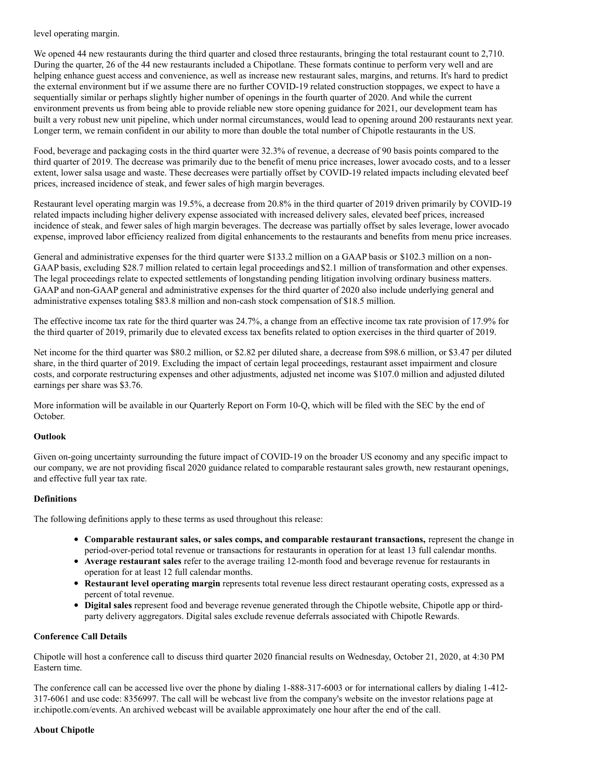level operating margin.

We opened 44 new restaurants during the third quarter and closed three restaurants, bringing the total restaurant count to 2,710. During the quarter, 26 of the 44 new restaurants included a Chipotlane. These formats continue to perform very well and are helping enhance guest access and convenience, as well as increase new restaurant sales, margins, and returns. It's hard to predict the external environment but if we assume there are no further COVID-19 related construction stoppages, we expect to have a sequentially similar or perhaps slightly higher number of openings in the fourth quarter of 2020. And while the current environment prevents us from being able to provide reliable new store opening guidance for 2021, our development team has built a very robust new unit pipeline, which under normal circumstances, would lead to opening around 200 restaurants next year. Longer term, we remain confident in our ability to more than double the total number of Chipotle restaurants in the US.

Food, beverage and packaging costs in the third quarter were 32.3% of revenue, a decrease of 90 basis points compared to the third quarter of 2019. The decrease was primarily due to the benefit of menu price increases, lower avocado costs, and to a lesser extent, lower salsa usage and waste. These decreases were partially offset by COVID-19 related impacts including elevated beef prices, increased incidence of steak, and fewer sales of high margin beverages.

Restaurant level operating margin was 19.5%, a decrease from 20.8% in the third quarter of 2019 driven primarily by COVID-19 related impacts including higher delivery expense associated with increased delivery sales, elevated beef prices, increased incidence of steak, and fewer sales of high margin beverages. The decrease was partially offset by sales leverage, lower avocado expense, improved labor efficiency realized from digital enhancements to the restaurants and benefits from menu price increases.

General and administrative expenses for the third quarter were \$133.2 million on a GAAP basis or \$102.3 million on a non-GAAP basis, excluding \$28.7 million related to certain legal proceedings and \$2.1 million of transformation and other expenses. The legal proceedings relate to expected settlements of longstanding pending litigation involving ordinary business matters. GAAP and non-GAAP general and administrative expenses for the third quarter of 2020 also include underlying general and administrative expenses totaling \$83.8 million and non-cash stock compensation of \$18.5 million.

The effective income tax rate for the third quarter was 24.7%, a change from an effective income tax rate provision of 17.9% for the third quarter of 2019, primarily due to elevated excess tax benefits related to option exercises in the third quarter of 2019.

Net income for the third quarter was \$80.2 million, or \$2.82 per diluted share, a decrease from \$98.6 million, or \$3.47 per diluted share, in the third quarter of 2019. Excluding the impact of certain legal proceedings, restaurant asset impairment and closure costs, and corporate restructuring expenses and other adjustments, adjusted net income was \$107.0 million and adjusted diluted earnings per share was \$3.76.

More information will be available in our Quarterly Report on Form 10-Q, which will be filed with the SEC by the end of October.

# **Outlook**

Given on-going uncertainty surrounding the future impact of COVID-19 on the broader US economy and any specific impact to our company, we are not providing fiscal 2020 guidance related to comparable restaurant sales growth, new restaurant openings, and effective full year tax rate.

# **Definitions**

The following definitions apply to these terms as used throughout this release:

- **Comparable restaurant sales, or sales comps, and comparable restaurant transactions,** represent the change in period-over-period total revenue or transactions for restaurants in operation for at least 13 full calendar months.
- **Average restaurant sales** refer to the average trailing 12-month food and beverage revenue for restaurants in operation for at least 12 full calendar months.
- **Restaurant level operating margin** represents total revenue less direct restaurant operating costs, expressed as a percent of total revenue.
- **Digital sales** represent food and beverage revenue generated through the Chipotle website, Chipotle app or thirdparty delivery aggregators. Digital sales exclude revenue deferrals associated with Chipotle Rewards.

# **Conference Call Details**

Chipotle will host a conference call to discuss third quarter 2020 financial results on Wednesday, October 21, 2020, at 4:30 PM Eastern time.

The conference call can be accessed live over the phone by dialing 1-888-317-6003 or for international callers by dialing 1-412- 317-6061 and use code: 8356997. The call will be webcast live from the company's website on the investor relations page at ir.chipotle.com/events. An archived webcast will be available approximately one hour after the end of the call.

# **About Chipotle**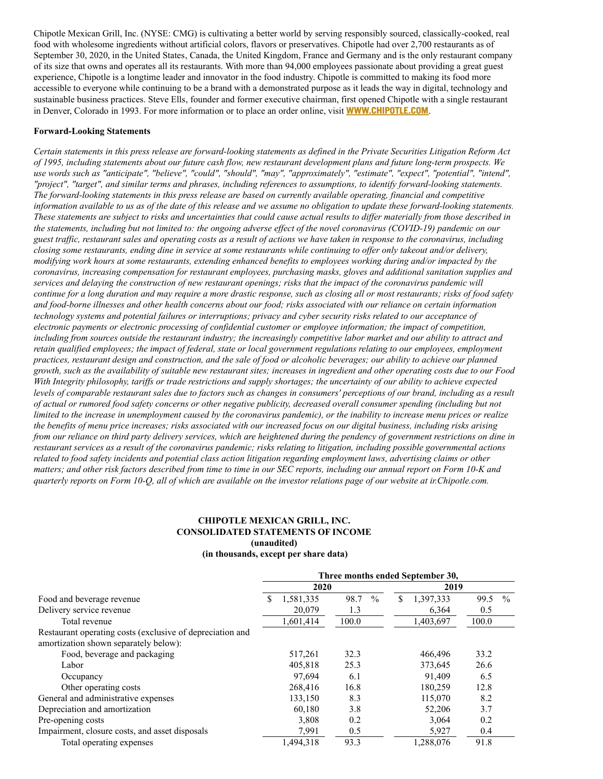Chipotle Mexican Grill, Inc. (NYSE: CMG) is cultivating a better world by serving responsibly sourced, classically-cooked, real food with wholesome ingredients without artificial colors, flavors or preservatives. Chipotle had over 2,700 restaurants as of September 30, 2020, in the United States, Canada, the United Kingdom, France and Germany and is the only restaurant company of its size that owns and operates all its restaurants. With more than 94,000 employees passionate about providing a great guest experience, Chipotle is a longtime leader and innovator in the food industry. Chipotle is committed to making its food more accessible to everyone while continuing to be a brand with a demonstrated purpose as it leads the way in digital, technology and sustainable business practices. Steve Ells, founder and former executive chairman, first opened Chipotle with a single restaurant in Denver, Colorado in 1993. For more information or to place an order online, visit **[WWW.CHIPOTLE.COM](https://c212.net/c/link/?t=0&l=en&o=2957306-1&h=3320297282&u=https%3A%2F%2Fc212.net%2Fc%2Flink%2F%3Ft%3D0%26l%3Den%26o%3D2358795-1%26h%3D1621835086%26u%3Dhttps%253A%252F%252Fc212.net%252Fc%252Flink%252F%253Ft%253D0%2526l%253Den%2526o%253D2335494-1%2526h%253D854222371%2526u%253Dhttp%25253A%25252F%25252Fwww.chipotle.com%25252F%2526a%253DWWW.CHIPOTLE.COM%26a%3DWWW.CHIPOTLE.COM&a=WWW.CHIPOTLE.COM)**.

#### **Forward-Looking Statements**

Certain statements in this press release are forward-looking statements as defined in the Private Securities Litigation Reform Act of 1995, including statements about our future cash flow, new restaurant development plans and future long-term prospects. We use words such as "anticipate", "believe", "could", "should", "may", "approximately", "estimate", "expect", "potential", "intend", "project", "target", and similar terms and phrases, including references to assumptions, to identify forward-looking statements. The forward-looking statements in this press release are based on currently available operating, financial and competitive information available to us as of the date of this release and we assume no obligation to update these forward-looking statements. These statements are subject to risks and uncertainties that could cause actual results to differ materially from those described in the statements, including but not limited to: the ongoing adverse effect of the novel coronavirus (COVID-19) pandemic on our guest traffic, restaurant sales and operating costs as a result of actions we have taken in response to the coronavirus, including closing some restaurants, ending dine in service at some restaurants while continuing to offer only takeout and/or delivery, modifying work hours at some restaurants, extending enhanced benefits to employees working during and/or impacted by the *coronavirus, increasing compensation for restaurant employees, purchasing masks, gloves and additional sanitation supplies and* services and delaying the construction of new restaurant openings; risks that the impact of the coronavirus pandemic will continue for a long duration and may require a more drastic response, such as closing all or most restaurants; risks of food safety and food-borne illnesses and other health concerns about our food; risks associated with our reliance on certain information technology systems and potential failures or interruptions; privacy and cyber security risks related to our acceptance of electronic payments or electronic processing of confidential customer or employee information; the impact of competition, including from sources outside the restaurant industry; the increasingly competitive labor market and our ability to attract and retain qualified employees; the impact of federal, state or local government regulations relating to our employees, employment practices, restaurant design and construction, and the sale of food or alcoholic beverages; our ability to achieve our planned growth, such as the availability of suitable new restaurant sites; increases in ingredient and other operating costs due to our Food With Integrity philosophy, tariffs or trade restrictions and supply shortages; the uncertainty of our ability to achieve expected levels of comparable restaurant sales due to factors such as changes in consumers' perceptions of our brand, including as a result of actual or rumored food safety concerns or other negative publicity, decreased overall consumer spending (including but not limited to the increase in unemployment caused by the coronavirus pandemic), or the inability to increase menu prices or realize the benefits of menu price increases; risks associated with our increased focus on our digital business, including risks arising from our reliance on third party delivery services, which are heightened during the pendency of government restrictions on dine in restaurant services as a result of the coronavirus pandemic; risks relating to litigation, including possible governmental actions related to food safety incidents and potential class action litigation regarding employment laws, advertising claims or other matters; and other risk factors described from time to time in our SEC reports, including our annual report on Form 10-K and quarterly reports on Form 10-Q, all of which are available on the investor relations page of our website at ir.Chipotle.com.

### **CHIPOTLE MEXICAN GRILL, INC. CONSOLIDATED STATEMENTS OF INCOME (unaudited)**

#### **(in thousands, except per share data)**

|                                                                                                    | Three months ended September 30, |                       |                 |              |  |  |
|----------------------------------------------------------------------------------------------------|----------------------------------|-----------------------|-----------------|--------------|--|--|
|                                                                                                    | 2020                             |                       | 2019            |              |  |  |
| Food and beverage revenue                                                                          | \$<br>1,581,335                  | 98.7<br>$\frac{0}{0}$ | \$<br>1,397,333 | 99.5<br>$\%$ |  |  |
| Delivery service revenue                                                                           | 20,079                           | 1.3                   | 6,364           | 0.5          |  |  |
| Total revenue                                                                                      | 1,601,414                        | 100.0                 | 1,403,697       | 100.0        |  |  |
| Restaurant operating costs (exclusive of depreciation and<br>amortization shown separately below): |                                  |                       |                 |              |  |  |
| Food, beverage and packaging                                                                       | 517,261                          | 32.3                  | 466,496         | 33.2         |  |  |
| Labor                                                                                              | 405,818                          | 25.3                  | 373,645         | 26.6         |  |  |
| Occupancy                                                                                          | 97.694                           | 6.1                   | 91.409          | 6.5          |  |  |
| Other operating costs                                                                              | 268,416                          | 16.8                  | 180,259         | 12.8         |  |  |
| General and administrative expenses                                                                | 133.150                          | 8.3                   | 115,070         | 8.2          |  |  |
| Depreciation and amortization                                                                      | 60.180                           | 3.8                   | 52,206          | 3.7          |  |  |
| Pre-opening costs                                                                                  | 3,808                            | 0.2                   | 3,064           | 0.2          |  |  |
| Impairment, closure costs, and asset disposals                                                     | 7.991                            | 0.5                   | 5,927           | 0.4          |  |  |
| Total operating expenses                                                                           | 1,494,318                        | 93.3                  | 1,288,076       | 91.8         |  |  |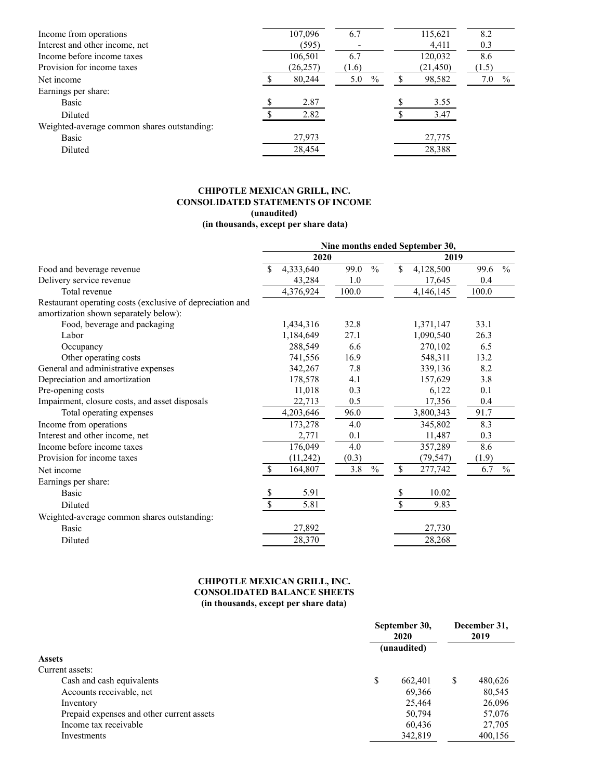| Income from operations                      | 107,096   | 6.7                  | 115,621   | 8.2                  |
|---------------------------------------------|-----------|----------------------|-----------|----------------------|
| Interest and other income, net              | (595)     |                      | 4,411     | 0.3                  |
| Income before income taxes                  | 106,501   | 6.7                  | 120,032   | 8.6                  |
| Provision for income taxes                  | (26, 257) | (1.6)                | (21, 450) | (1.5)                |
| Net income                                  | 80,244    | 5.0<br>$\frac{0}{0}$ | 98,582    | 7.0<br>$\frac{0}{0}$ |
| Earnings per share:                         |           |                      |           |                      |
| Basic                                       | 2.87      |                      | 3.55      |                      |
| Diluted                                     | 2.82      |                      | 3.47      |                      |
| Weighted-average common shares outstanding: |           |                      |           |                      |
| Basic                                       | 27,973    |                      | 27,775    |                      |
| Diluted                                     | 28,454    |                      | 28,388    |                      |
|                                             |           |                      |           |                      |

# **CHIPOTLE MEXICAN GRILL, INC. CONSOLIDATED STATEMENTS OF INCOME (unaudited) (in thousands, except per share data)**

|                                                                                                    | Nine months ended September 30, |             |       |               |              |           |       |               |  |  |
|----------------------------------------------------------------------------------------------------|---------------------------------|-------------|-------|---------------|--------------|-----------|-------|---------------|--|--|
|                                                                                                    | 2020                            |             |       |               |              | 2019      |       |               |  |  |
| Food and beverage revenue                                                                          |                                 | 4,333,640   | 99.0  | $\frac{0}{0}$ | \$           | 4,128,500 | 99.6  | $\frac{0}{0}$ |  |  |
| Delivery service revenue                                                                           |                                 | 43,284      | 1.0   |               |              | 17,645    | 0.4   |               |  |  |
| Total revenue                                                                                      |                                 | 4,376,924   | 100.0 |               |              | 4,146,145 | 100.0 |               |  |  |
| Restaurant operating costs (exclusive of depreciation and<br>amortization shown separately below): |                                 |             |       |               |              |           |       |               |  |  |
| Food, beverage and packaging                                                                       |                                 | 1,434,316   | 32.8  |               |              | 1,371,147 | 33.1  |               |  |  |
| Labor                                                                                              |                                 | 1,184,649   | 27.1  |               |              | 1,090,540 | 26.3  |               |  |  |
| Occupancy                                                                                          |                                 | 288,549     | 6.6   |               |              | 270,102   | 6.5   |               |  |  |
| Other operating costs                                                                              |                                 | 741,556     | 16.9  |               |              | 548,311   | 13.2  |               |  |  |
| General and administrative expenses                                                                |                                 | 342,267     | 7.8   |               |              | 339,136   | 8.2   |               |  |  |
| Depreciation and amortization                                                                      |                                 | 178,578     | 4.1   |               |              | 157,629   | 3.8   |               |  |  |
| Pre-opening costs                                                                                  |                                 | 11,018      | 0.3   |               |              | 6,122     | 0.1   |               |  |  |
| Impairment, closure costs, and asset disposals                                                     |                                 | 22,713      | 0.5   |               |              | 17,356    | 0.4   |               |  |  |
| Total operating expenses                                                                           |                                 | 4, 203, 646 | 96.0  |               |              | 3,800,343 | 91.7  |               |  |  |
| Income from operations                                                                             |                                 | 173,278     | 4.0   |               |              | 345,802   | 8.3   |               |  |  |
| Interest and other income, net                                                                     |                                 | 2,771       | 0.1   |               |              | 11,487    | 0.3   |               |  |  |
| Income before income taxes                                                                         |                                 | 176,049     | 4.0   |               |              | 357,289   | 8.6   |               |  |  |
| Provision for income taxes                                                                         |                                 | (11,242)    | (0.3) |               |              | (79, 547) | (1.9) |               |  |  |
| Net income                                                                                         | <sup>\$</sup>                   | 164,807     | 3.8   | $\%$          | $\mathbb{S}$ | 277,742   | 6.7   | $\%$          |  |  |
| Earnings per share:                                                                                |                                 |             |       |               |              |           |       |               |  |  |
| <b>Basic</b>                                                                                       | \$                              | 5.91        |       |               | \$           | 10.02     |       |               |  |  |
| Diluted                                                                                            | \$                              | 5.81        |       |               | \$           | 9.83      |       |               |  |  |
| Weighted-average common shares outstanding:                                                        |                                 |             |       |               |              |           |       |               |  |  |
| <b>Basic</b>                                                                                       |                                 | 27,892      |       |               |              | 27,730    |       |               |  |  |
| Diluted                                                                                            |                                 | 28,370      |       |               |              | 28,268    |       |               |  |  |

# **CHIPOTLE MEXICAN GRILL, INC. CONSOLIDATED BALANCE SHEETS (in thousands, except per share data)**

|                                           |   | September 30,<br>2020 |   | December 31,<br>2019 |  |
|-------------------------------------------|---|-----------------------|---|----------------------|--|
|                                           |   | (unaudited)           |   |                      |  |
| <b>Assets</b>                             |   |                       |   |                      |  |
| Current assets:                           |   |                       |   |                      |  |
| Cash and cash equivalents                 | S | 662,401               | S | 480.626              |  |
| Accounts receivable, net                  |   | 69,366                |   | 80,545               |  |
| Inventory                                 |   | 25,464                |   | 26,096               |  |
| Prepaid expenses and other current assets |   | 50,794                |   | 57,076               |  |
| Income tax receivable                     |   | 60,436                |   | 27,705               |  |
| Investments                               |   | 342,819               |   | 400,156              |  |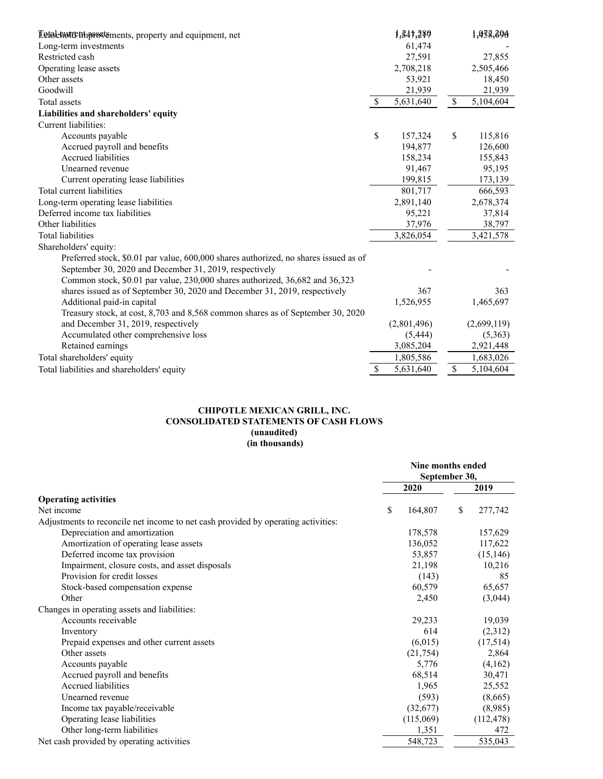| Letal hutenthest ements, property and equipment, net                                 |              | 1,347,280   |              | 1,938,396   |
|--------------------------------------------------------------------------------------|--------------|-------------|--------------|-------------|
| Long-term investments                                                                |              | 61,474      |              |             |
| Restricted cash                                                                      |              | 27,591      |              | 27,855      |
| Operating lease assets                                                               |              | 2,708,218   |              | 2,505,466   |
| Other assets                                                                         |              | 53,921      |              | 18,450      |
| Goodwill                                                                             |              | 21,939      |              | 21,939      |
| Total assets                                                                         | $\mathbb{S}$ | 5,631,640   | $\mathbb{S}$ | 5,104,604   |
| Liabilities and shareholders' equity                                                 |              |             |              |             |
| Current liabilities:                                                                 |              |             |              |             |
| Accounts payable                                                                     | \$           | 157,324     | \$           | 115,816     |
| Accrued payroll and benefits                                                         |              | 194,877     |              | 126,600     |
| <b>Accrued liabilities</b>                                                           |              | 158,234     |              | 155,843     |
| Unearned revenue                                                                     |              | 91,467      |              | 95,195      |
| Current operating lease liabilities                                                  |              | 199,815     |              | 173,139     |
| Total current liabilities                                                            |              | 801,717     |              | 666,593     |
| Long-term operating lease liabilities                                                |              | 2,891,140   |              | 2,678,374   |
| Deferred income tax liabilities                                                      |              | 95,221      |              | 37,814      |
| Other liabilities                                                                    |              | 37,976      |              | 38,797      |
| <b>Total liabilities</b>                                                             |              | 3,826,054   |              | 3,421,578   |
| Shareholders' equity:                                                                |              |             |              |             |
| Preferred stock, \$0.01 par value, 600,000 shares authorized, no shares issued as of |              |             |              |             |
| September 30, 2020 and December 31, 2019, respectively                               |              |             |              |             |
| Common stock, \$0.01 par value, 230,000 shares authorized, 36,682 and 36,323         |              |             |              |             |
| shares issued as of September 30, 2020 and December 31, 2019, respectively           |              | 367         |              | 363         |
| Additional paid-in capital                                                           |              | 1,526,955   |              | 1,465,697   |
| Treasury stock, at cost, 8,703 and 8,568 common shares as of September 30, 2020      |              |             |              |             |
| and December 31, 2019, respectively                                                  |              | (2,801,496) |              | (2,699,119) |
| Accumulated other comprehensive loss                                                 |              | (5, 444)    |              | (5,363)     |
| Retained earnings                                                                    |              | 3,085,204   |              | 2,921,448   |
| Total shareholders' equity                                                           |              | 1,805,586   |              | 1,683,026   |
| Total liabilities and shareholders' equity                                           | \$           | 5,631,640   | \$           | 5,104,604   |

# **CHIPOTLE MEXICAN GRILL, INC. CONSOLIDATED STATEMENTS OF CASH FLOWS (unaudited) (in thousands)**

|                                                                                   | Nine months ended<br>September 30, |           |    |            |
|-----------------------------------------------------------------------------------|------------------------------------|-----------|----|------------|
|                                                                                   |                                    | 2020      |    | 2019       |
| <b>Operating activities</b>                                                       |                                    |           |    |            |
| Net income                                                                        | \$                                 | 164,807   | \$ | 277,742    |
| Adjustments to reconcile net income to net cash provided by operating activities: |                                    |           |    |            |
| Depreciation and amortization                                                     |                                    | 178,578   |    | 157,629    |
| Amortization of operating lease assets                                            |                                    | 136,052   |    | 117,622    |
| Deferred income tax provision                                                     |                                    | 53,857    |    | (15, 146)  |
| Impairment, closure costs, and asset disposals                                    |                                    | 21,198    |    | 10,216     |
| Provision for credit losses                                                       |                                    | (143)     |    | 85         |
| Stock-based compensation expense                                                  |                                    | 60,579    |    | 65,657     |
| Other                                                                             |                                    | 2,450     |    | (3,044)    |
| Changes in operating assets and liabilities:                                      |                                    |           |    |            |
| Accounts receivable                                                               |                                    | 29,233    |    | 19,039     |
| Inventory                                                                         |                                    | 614       |    | (2,312)    |
| Prepaid expenses and other current assets                                         |                                    | (6,015)   |    | (17,514)   |
| Other assets                                                                      |                                    | (21,754)  |    | 2,864      |
| Accounts payable                                                                  |                                    | 5,776     |    | (4,162)    |
| Accrued payroll and benefits                                                      |                                    | 68,514    |    | 30,471     |
| Accrued liabilities                                                               |                                    | 1,965     |    | 25,552     |
| Unearned revenue                                                                  |                                    | (593)     |    | (8,665)    |
| Income tax payable/receivable                                                     |                                    | (32,677)  |    | (8,985)    |
| Operating lease liabilities                                                       |                                    | (115,069) |    | (112, 478) |
| Other long-term liabilities                                                       |                                    | 1,351     |    | 472        |
| Net cash provided by operating activities                                         |                                    | 548,723   |    | 535,043    |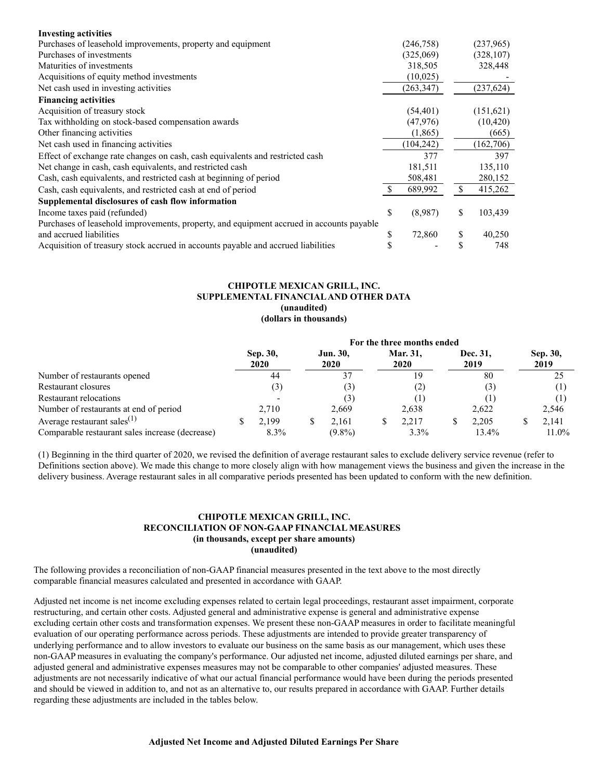| <b>Investing activities</b>                                                              |    |            |     |            |
|------------------------------------------------------------------------------------------|----|------------|-----|------------|
| Purchases of leasehold improvements, property and equipment                              |    | (246, 758) |     | (237,965)  |
| Purchases of investments                                                                 |    | (325,069)  |     | (328, 107) |
| Maturities of investments                                                                |    | 318,505    |     | 328,448    |
| Acquisitions of equity method investments                                                |    | (10,025)   |     |            |
| Net cash used in investing activities                                                    |    | (263, 347) |     | (237, 624) |
| <b>Financing activities</b>                                                              |    |            |     |            |
| Acquisition of treasury stock                                                            |    | (54, 401)  |     | (151,621)  |
| Tax withholding on stock-based compensation awards                                       |    | (47,976)   |     | (10, 420)  |
| Other financing activities                                                               |    | (1,865)    |     | (665)      |
| Net cash used in financing activities                                                    |    | (104, 242) |     | (162,706)  |
| Effect of exchange rate changes on cash, cash equivalents and restricted cash            |    | 377        |     | 397        |
| Net change in cash, cash equivalents, and restricted cash                                |    | 181,511    |     | 135,110    |
| Cash, cash equivalents, and restricted cash at beginning of period                       |    | 508,481    |     | 280,152    |
| Cash, cash equivalents, and restricted cash at end of period                             | S. | 689,992    | \$. | 415,262    |
| Supplemental disclosures of cash flow information                                        |    |            |     |            |
| Income taxes paid (refunded)                                                             | \$ | (8,987)    | S   | 103,439    |
| Purchases of leasehold improvements, property, and equipment accrued in accounts payable |    |            |     |            |
| and accrued liabilities                                                                  | S  | 72,860     | \$  | 40,250     |
| Acquisition of treasury stock accrued in accounts payable and accrued liabilities        |    |            |     | 748        |

## **CHIPOTLE MEXICAN GRILL, INC. SUPPLEMENTAL FINANCIALAND OTHER DATA (unaudited) (dollars in thousands)**

|                                                 | For the three months ended |                  |  |                  |  |                  |  |                  |                  |
|-------------------------------------------------|----------------------------|------------------|--|------------------|--|------------------|--|------------------|------------------|
|                                                 |                            | Sep. 30,<br>2020 |  | Jun. 30,<br>2020 |  | Mar. 31,<br>2020 |  | Dec. 31,<br>2019 | Sep. 30,<br>2019 |
| Number of restaurants opened                    |                            | 44               |  | 37               |  | 19               |  | 80               | 25               |
| Restaurant closures                             |                            | (3)              |  | (3)              |  | 2)               |  | (3)              |                  |
| Restaurant relocations                          |                            |                  |  | (3)              |  |                  |  |                  |                  |
| Number of restaurants at end of period          |                            | 2.710            |  | 2,669            |  | 2,638            |  | 2,622            | 2,546            |
| Average restaurant sales $(1)$                  | J.                         | 2.199            |  | 2.161            |  | 2.217            |  | 2.205            | 2.141            |
| Comparable restaurant sales increase (decrease) |                            | $8.3\%$          |  | $(9.8\%)$        |  | $3.3\%$          |  | 13.4%            | $11.0\%$         |

(1) Beginning in the third quarter of 2020, we revised the definition of average restaurant sales to exclude delivery service revenue (refer to Definitions section above). We made this change to more closely align with how management views the business and given the increase in the delivery business. Average restaurant sales in all comparative periods presented has been updated to conform with the new definition.

# **CHIPOTLE MEXICAN GRILL, INC. RECONCILIATION OF NON-GAAP FINANCIAL MEASURES (in thousands, except per share amounts) (unaudited)**

The following provides a reconciliation of non-GAAP financial measures presented in the text above to the most directly comparable financial measures calculated and presented in accordance with GAAP.

Adjusted net income is net income excluding expenses related to certain legal proceedings, restaurant asset impairment, corporate restructuring, and certain other costs. Adjusted general and administrative expense is general and administrative expense excluding certain other costs and transformation expenses. We present these non-GAAP measures in order to facilitate meaningful evaluation of our operating performance across periods. These adjustments are intended to provide greater transparency of underlying performance and to allow investors to evaluate our business on the same basis as our management, which uses these non-GAAP measures in evaluating the company's performance. Our adjusted net income, adjusted diluted earnings per share, and adjusted general and administrative expenses measures may not be comparable to other companies' adjusted measures. These adjustments are not necessarily indicative of what our actual financial performance would have been during the periods presented and should be viewed in addition to, and not as an alternative to, our results prepared in accordance with GAAP. Further details regarding these adjustments are included in the tables below.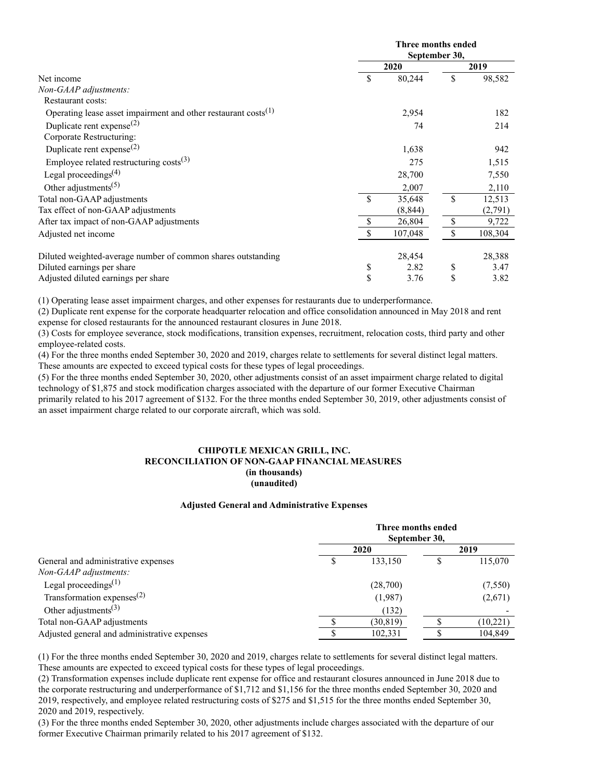|                                                                            |               | Three months ended<br>September 30, |     |         |  |  |  |
|----------------------------------------------------------------------------|---------------|-------------------------------------|-----|---------|--|--|--|
|                                                                            |               | 2020                                |     | 2019    |  |  |  |
| Net income                                                                 | \$            | 80,244                              | \$  | 98,582  |  |  |  |
| Non-GAAP adjustments:                                                      |               |                                     |     |         |  |  |  |
| <b>Restaurant costs:</b>                                                   |               |                                     |     |         |  |  |  |
| Operating lease asset impairment and other restaurant costs <sup>(1)</sup> |               | 2,954                               |     | 182     |  |  |  |
| Duplicate rent expense <sup>(2)</sup>                                      |               | 74                                  |     | 214     |  |  |  |
| Corporate Restructuring:                                                   |               |                                     |     |         |  |  |  |
| Duplicate rent expense <sup>(2)</sup>                                      |               | 1,638                               |     | 942     |  |  |  |
| Employee related restructuring $costs^{(3)}$                               |               | 275                                 |     | 1,515   |  |  |  |
| Legal proceedings <sup><math>(4)</math></sup>                              |               | 28,700                              |     | 7,550   |  |  |  |
| Other adjustments <sup><math>(5)</math></sup>                              |               | 2,007                               |     | 2,110   |  |  |  |
| Total non-GAAP adjustments                                                 | <sup>\$</sup> | 35,648                              | \$. | 12,513  |  |  |  |
| Tax effect of non-GAAP adjustments                                         |               | (8, 844)                            |     | (2,791) |  |  |  |
| After tax impact of non-GAAP adjustments                                   | \$            | 26,804                              | \$  | 9,722   |  |  |  |
| Adjusted net income                                                        | S             | 107,048                             |     | 108,304 |  |  |  |
| Diluted weighted-average number of common shares outstanding               |               | 28,454                              |     | 28,388  |  |  |  |
| Diluted earnings per share                                                 | \$            | 2.82                                | \$  | 3.47    |  |  |  |
| Adjusted diluted earnings per share                                        | \$            | 3.76                                | \$  | 3.82    |  |  |  |

(1) Operating lease asset impairment charges, and other expenses for restaurants due to underperformance.

(2) Duplicate rent expense for the corporate headquarter relocation and office consolidation announced in May 2018 and rent expense for closed restaurants for the announced restaurant closures in June 2018.

(3) Costs for employee severance, stock modifications, transition expenses, recruitment, relocation costs, third party and other employee-related costs.

(4) For the three months ended September 30, 2020 and 2019, charges relate to settlements for several distinct legal matters. These amounts are expected to exceed typical costs for these types of legal proceedings.

(5) For the three months ended September 30, 2020, other adjustments consist of an asset impairment charge related to digital technology of \$1,875 and stock modification charges associated with the departure of our former Executive Chairman

primarily related to his 2017 agreement of \$132. For the three months ended September 30, 2019, other adjustments consist of an asset impairment charge related to our corporate aircraft, which was sold.

## **CHIPOTLE MEXICAN GRILL, INC. RECONCILIATION OF NON-GAAP FINANCIAL MEASURES (in thousands) (unaudited)**

#### **Adjusted General and Administrative Expenses**

|                                                     | Three months ended<br>September 30, |           |      |           |  |  |
|-----------------------------------------------------|-------------------------------------|-----------|------|-----------|--|--|
| General and administrative expenses                 |                                     | 2020      | 2019 |           |  |  |
|                                                     | S                                   | 133.150   |      | 115,070   |  |  |
| Non-GAAP adjustments:                               |                                     |           |      |           |  |  |
| Legal proceedings $(1)$                             |                                     | (28,700)  |      | (7,550)   |  |  |
| Transformation expenses <sup><math>(2)</math></sup> |                                     | (1,987)   |      | (2,671)   |  |  |
| Other adjustments <sup>(3)</sup>                    |                                     | (132)     |      |           |  |  |
| Total non-GAAP adjustments                          |                                     | (30, 819) |      | (10, 221) |  |  |
| Adjusted general and administrative expenses        |                                     | 102,331   |      | 104,849   |  |  |

(1) For the three months ended September 30, 2020 and 2019, charges relate to settlements for several distinct legal matters. These amounts are expected to exceed typical costs for these types of legal proceedings.

(2) Transformation expenses include duplicate rent expense for office and restaurant closures announced in June 2018 due to the corporate restructuring and underperformance of \$1,712 and \$1,156 for the three months ended September 30, 2020 and 2019, respectively, and employee related restructuring costs of \$275 and \$1,515 for the three months ended September 30, 2020 and 2019, respectively.

(3) For the three months ended September 30, 2020, other adjustments include charges associated with the departure of our former Executive Chairman primarily related to his 2017 agreement of \$132.